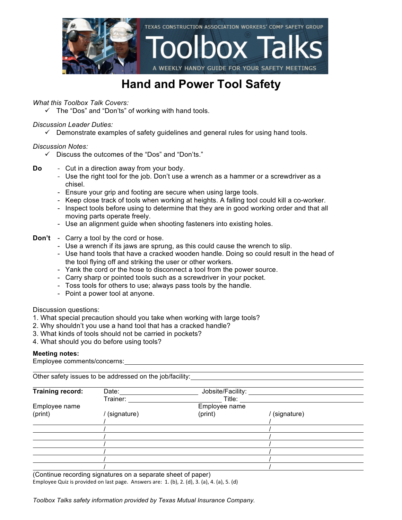

### **Hand and Power Tool Safety**

*What this Toolbox Talk Covers:*

 $\checkmark$  The "Dos" and "Don'ts" of working with hand tools.

### *Discussion Leader Duties:*

 $\checkmark$  Demonstrate examples of safety guidelines and general rules for using hand tools.

### *Discussion Notes:*

- $\checkmark$  Discuss the outcomes of the "Dos" and "Don'ts."
- **Do** Cut in a direction away from your body.
	- Use the right tool for the job. Don't use a wrench as a hammer or a screwdriver as a chisel.
	- Ensure your grip and footing are secure when using large tools.
	- Keep close track of tools when working at heights. A falling tool could kill a co-worker.
	- Inspect tools before using to determine that they are in good working order and that all moving parts operate freely.
	- Use an alignment guide when shooting fasteners into existing holes.
- **Don't** Carry a tool by the cord or hose.
	- Use a wrench if its jaws are sprung, as this could cause the wrench to slip.
	- Use hand tools that have a cracked wooden handle. Doing so could result in the head of the tool flying off and striking the user or other workers.
	- Yank the cord or the hose to disconnect a tool from the power source.
	- Carry sharp or pointed tools such as a screwdriver in your pocket.
	- Toss tools for others to use; always pass tools by the handle.
	- Point a power tool at anyone.

### Discussion questions:

- 1. What special precaution should you take when working with large tools?
- 2. Why shouldn't you use a hand tool that has a cracked handle?
- 3. What kinds of tools should not be carried in pockets?
- 4. What should you do before using tools?

### **Meeting notes:**

Employee comments/concerns:

Other safety issues to be addressed on the job/facility:

| Training record: | Date:       | Jobsite/Facility: |             |  |
|------------------|-------------|-------------------|-------------|--|
|                  | Trainer:    | Title:            |             |  |
| Employee name    |             | Employee name     |             |  |
| (print)          | (signature) | (print)           | (signature) |  |
|                  |             |                   |             |  |
|                  |             |                   |             |  |
|                  |             |                   |             |  |
|                  |             |                   |             |  |
|                  |             |                   |             |  |
|                  |             |                   |             |  |
|                  |             |                   |             |  |

(Continue recording signatures on a separate sheet of paper) Employee Quiz is provided on last page. Answers are:  $1.$  (b),  $2.$  (d),  $3.$  (a),  $4.$  (a),  $5.$  (d)

*Toolbox Talks safety information provided by Texas Mutual Insurance Company.*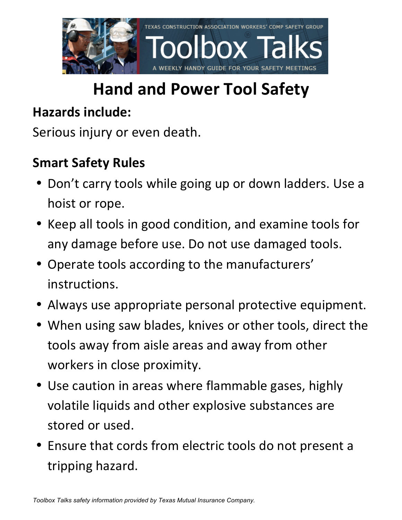

# **Hand and Power Tool Safety**

### **Hazards include:**

Serious injury or even death.

### **Smart Safety Rules**

- Don't carry tools while going up or down ladders. Use a hoist or rope.
- Keep all tools in good condition, and examine tools for any damage before use. Do not use damaged tools.
- Operate tools according to the manufacturers' instructions.
- Always use appropriate personal protective equipment.
- When using saw blades, knives or other tools, direct the tools away from aisle areas and away from other workers in close proximity.
- Use caution in areas where flammable gases, highly volatile liquids and other explosive substances are stored or used.
- Ensure that cords from electric tools do not present a tripping hazard.